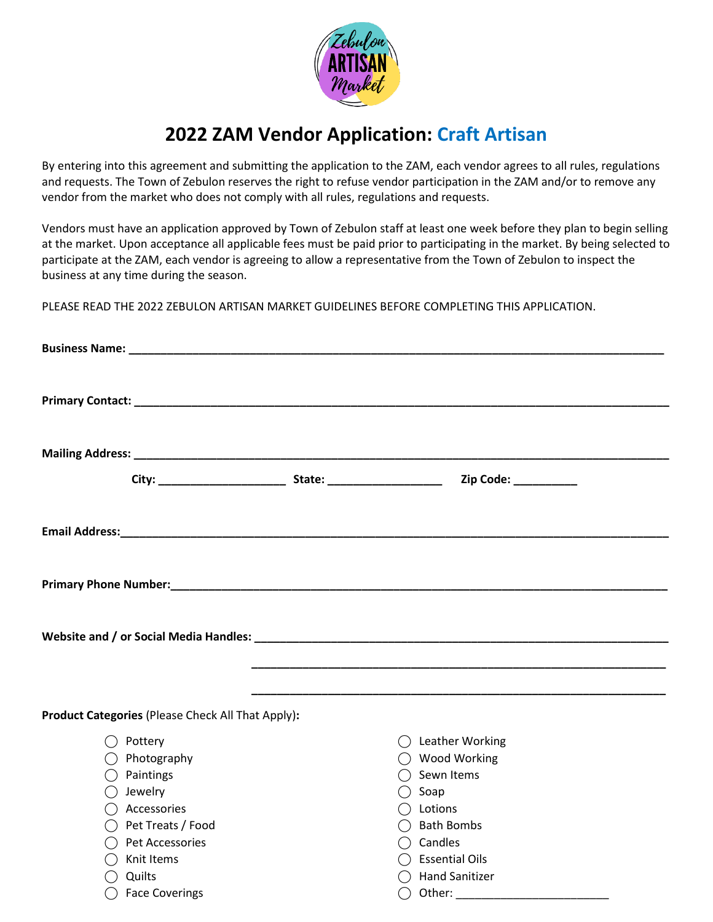

## **2022 ZAM Vendor Application: Craft Artisan**

By entering into this agreement and submitting the application to the ZAM, each vendor agrees to all rules, regulations and requests. The Town of Zebulon reserves the right to refuse vendor participation in the ZAM and/or to remove any vendor from the market who does not comply with all rules, regulations and requests.

Vendors must have an application approved by Town of Zebulon staff at least one week before they plan to begin selling at the market. Upon acceptance all applicable fees must be paid prior to participating in the market. By being selected to participate at the ZAM, each vendor is agreeing to allow a representative from the Town of Zebulon to inspect the business at any time during the season.

PLEASE READ THE 2022 ZEBULON ARTISAN MARKET GUIDELINES BEFORE COMPLETING THIS APPLICATION.

|                                                   | Zip Code: _________       |  |  |
|---------------------------------------------------|---------------------------|--|--|
|                                                   |                           |  |  |
|                                                   |                           |  |  |
|                                                   |                           |  |  |
|                                                   |                           |  |  |
| Product Categories (Please Check All That Apply): |                           |  |  |
| Pottery                                           | $\bigcap$ Leather Working |  |  |
| $\bigcirc$ Photography                            | ◯ Wood Working            |  |  |
| Paintings                                         | Sewn Items                |  |  |
| Jewelry                                           | Soap                      |  |  |
| $\bigcap$ Accessories                             | $\bigcap$ Lotions         |  |  |
| ◯ Pet Treats / Food                               | ◯ Bath Bombs              |  |  |
| ◯ Pet Accessories                                 | $\bigcap$ Candles         |  |  |
| Knit Items                                        | $\bigcap$ Essential Oils  |  |  |
| $\bigcap$ Quilts                                  | ◯ Hand Sanitizer          |  |  |
| ◯ Face Coverings                                  | Other:<br>$($ )           |  |  |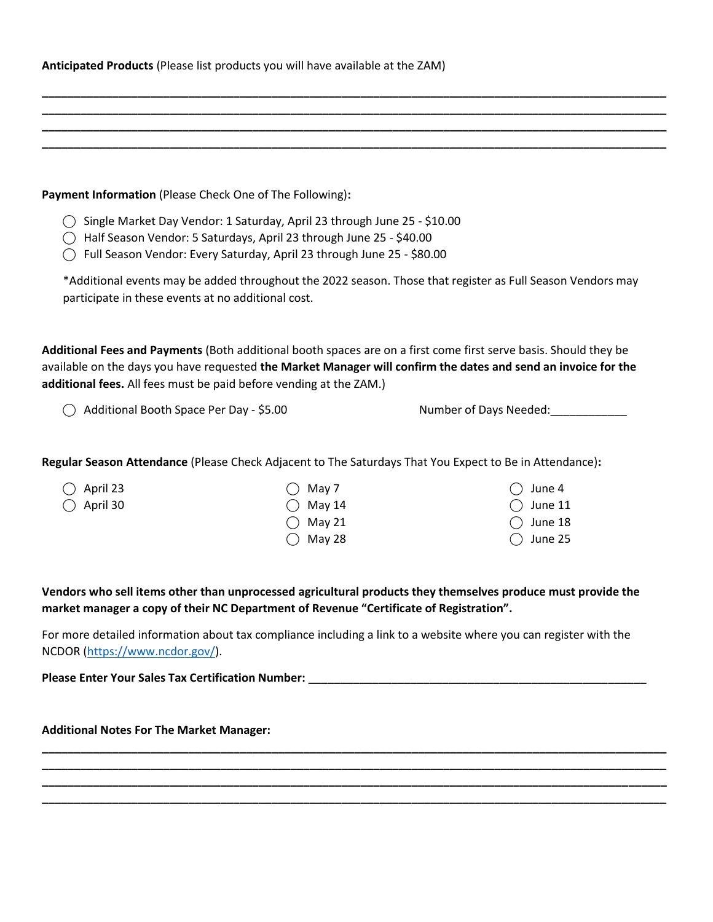| Anticipated Products (Please list products you will have available at the ZAM) |  |  |  |  |  |
|--------------------------------------------------------------------------------|--|--|--|--|--|
|--------------------------------------------------------------------------------|--|--|--|--|--|

| Payment Information (Please Check One of The Following):                                                                                                                                                                        |        |                                                                                                                                                                                                                                    |  |  |
|---------------------------------------------------------------------------------------------------------------------------------------------------------------------------------------------------------------------------------|--------|------------------------------------------------------------------------------------------------------------------------------------------------------------------------------------------------------------------------------------|--|--|
| ◯ Single Market Day Vendor: 1 Saturday, April 23 through June 25 - \$10.00<br>All Half Season Vendor: 5 Saturdays, April 23 through June 25 - \$40.00<br>Full Season Vendor: Every Saturday, April 23 through June 25 - \$80.00 |        |                                                                                                                                                                                                                                    |  |  |
| participate in these events at no additional cost.                                                                                                                                                                              |        | *Additional events may be added throughout the 2022 season. Those that register as Full Season Vendors may                                                                                                                         |  |  |
| additional fees. All fees must be paid before vending at the ZAM.)                                                                                                                                                              |        | Additional Fees and Payments (Both additional booth spaces are on a first come first serve basis. Should they be<br>available on the days you have requested the Market Manager will confirm the dates and send an invoice for the |  |  |
| Additional Booth Space Per Day - \$5.00                                                                                                                                                                                         |        | Number of Days Needed: _________                                                                                                                                                                                                   |  |  |
|                                                                                                                                                                                                                                 |        | Regular Season Attendance (Please Check Adjacent to The Saturdays That You Expect to Be in Attendance):                                                                                                                            |  |  |
| April 23                                                                                                                                                                                                                        | May 7  | June 4                                                                                                                                                                                                                             |  |  |
| April 30                                                                                                                                                                                                                        | May 14 | June 11                                                                                                                                                                                                                            |  |  |
|                                                                                                                                                                                                                                 | May 21 | June 18                                                                                                                                                                                                                            |  |  |
|                                                                                                                                                                                                                                 | May 28 | June 25                                                                                                                                                                                                                            |  |  |
| market manager a copy of their NC Department of Revenue "Certificate of Registration".                                                                                                                                          |        | Vendors who sell items other than unprocessed agricultural products they themselves produce must provide the                                                                                                                       |  |  |
| NCDOR (https://www.ncdor.gov/).                                                                                                                                                                                                 |        | For more detailed information about tax compliance including a link to a website where you can register with the                                                                                                                   |  |  |

**\_\_\_\_\_\_\_\_\_\_\_\_\_\_\_\_\_\_\_\_\_\_\_\_\_\_\_\_\_\_\_\_\_\_\_\_\_\_\_\_\_\_\_\_\_\_\_\_\_\_\_\_\_\_\_\_\_\_\_\_\_\_\_\_\_\_\_\_\_\_\_\_\_\_\_\_\_\_\_\_\_\_\_\_\_\_\_\_\_\_\_\_\_\_\_\_\_\_ \_\_\_\_\_\_\_\_\_\_\_\_\_\_\_\_\_\_\_\_\_\_\_\_\_\_\_\_\_\_\_\_\_\_\_\_\_\_\_\_\_\_\_\_\_\_\_\_\_\_\_\_\_\_\_\_\_\_\_\_\_\_\_\_\_\_\_\_\_\_\_\_\_\_\_\_\_\_\_\_\_\_\_\_\_\_\_\_\_\_\_\_\_\_\_\_\_\_ \_\_\_\_\_\_\_\_\_\_\_\_\_\_\_\_\_\_\_\_\_\_\_\_\_\_\_\_\_\_\_\_\_\_\_\_\_\_\_\_\_\_\_\_\_\_\_\_\_\_\_\_\_\_\_\_\_\_\_\_\_\_\_\_\_\_\_\_\_\_\_\_\_\_\_\_\_\_\_\_\_\_\_\_\_\_\_\_\_\_\_\_\_\_\_\_\_\_ \_\_\_\_\_\_\_\_\_\_\_\_\_\_\_\_\_\_\_\_\_\_\_\_\_\_\_\_\_\_\_\_\_\_\_\_\_\_\_\_\_\_\_\_\_\_\_\_\_\_\_\_\_\_\_\_\_\_\_\_\_\_\_\_\_\_\_\_\_\_\_\_\_\_\_\_\_\_\_\_\_\_\_\_\_\_\_\_\_\_\_\_\_\_\_\_\_\_**

**\_\_\_\_\_\_\_\_\_\_\_\_\_\_\_\_\_\_\_\_\_\_\_\_\_\_\_\_\_\_\_\_\_\_\_\_\_\_\_\_\_\_\_\_\_\_\_\_\_\_\_\_\_\_\_\_\_\_\_\_\_\_\_\_\_\_\_\_\_\_\_\_\_\_\_\_\_\_\_\_\_\_\_\_\_\_\_\_\_\_\_\_\_\_\_\_\_\_**

**Please Enter Your Sales Tax Certification Number: \_\_\_\_\_\_\_\_\_\_\_\_\_\_\_\_\_\_\_\_\_\_\_\_\_\_\_\_\_\_\_\_\_\_\_\_\_\_\_\_\_\_\_\_\_\_\_\_\_\_\_\_\_**

**Additional Notes For The Market Manager:**